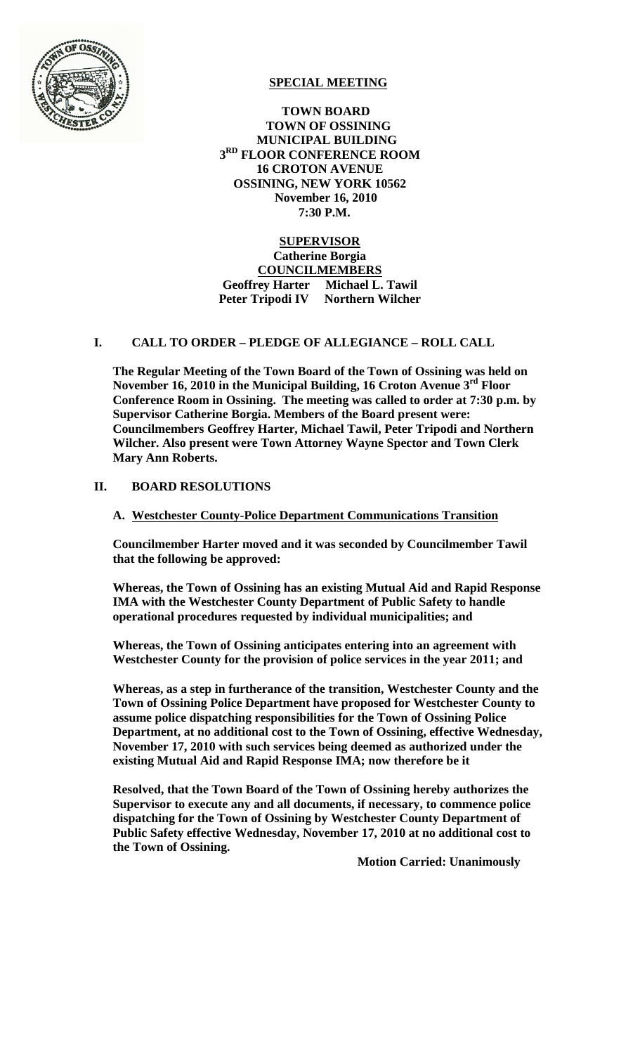

# **SPECIAL MEETING**

 **TOWN BOARD TOWN OF OSSINING MUNICIPAL BUILDING 3RD FLOOR CONFERENCE ROOM 16 CROTON AVENUE OSSINING, NEW YORK 10562 November 16, 2010 7:30 P.M.**

### **SUPERVISOR Catherine Borgia COUNCILMEMBERS Geoffrey Harter Michael L. Tawil Peter Tripodi IV Northern Wilcher**

## **I. CALL TO ORDER – PLEDGE OF ALLEGIANCE – ROLL CALL**

**The Regular Meeting of the Town Board of the Town of Ossining was held on November 16, 2010 in the Municipal Building, 16 Croton Avenue 3rd Floor Conference Room in Ossining. The meeting was called to order at 7:30 p.m. by Supervisor Catherine Borgia. Members of the Board present were: Councilmembers Geoffrey Harter, Michael Tawil, Peter Tripodi and Northern Wilcher. Also present were Town Attorney Wayne Spector and Town Clerk Mary Ann Roberts.**

### **II. BOARD RESOLUTIONS**

#### **A. Westchester County-Police Department Communications Transition**

**Councilmember Harter moved and it was seconded by Councilmember Tawil that the following be approved:**

**Whereas, the Town of Ossining has an existing Mutual Aid and Rapid Response IMA with the Westchester County Department of Public Safety to handle operational procedures requested by individual municipalities; and**

**Whereas, the Town of Ossining anticipates entering into an agreement with Westchester County for the provision of police services in the year 2011; and**

**Whereas, as a step in furtherance of the transition, Westchester County and the Town of Ossining Police Department have proposed for Westchester County to assume police dispatching responsibilities for the Town of Ossining Police Department, at no additional cost to the Town of Ossining, effective Wednesday, November 17, 2010 with such services being deemed as authorized under the existing Mutual Aid and Rapid Response IMA; now therefore be it**

**Resolved, that the Town Board of the Town of Ossining hereby authorizes the Supervisor to execute any and all documents, if necessary, to commence police dispatching for the Town of Ossining by Westchester County Department of Public Safety effective Wednesday, November 17, 2010 at no additional cost to the Town of Ossining.**

**Motion Carried: Unanimously**